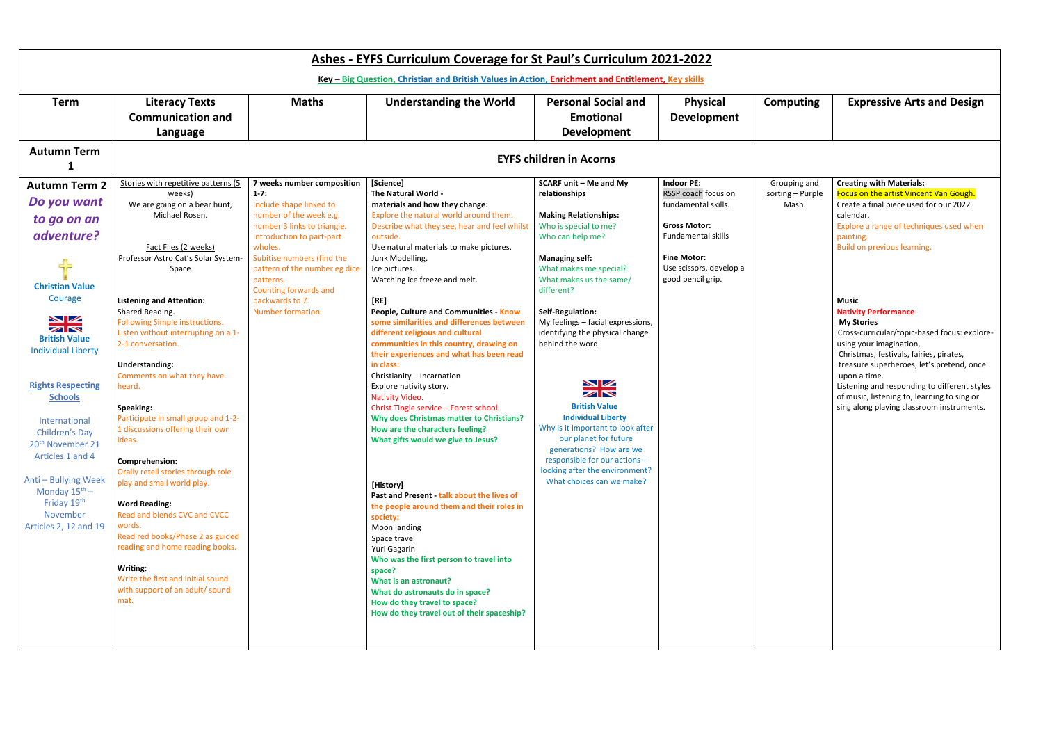| Ashes - EYFS Curriculum Coverage for St Paul's Curriculum 2021-2022                                                                                                                                                                                                                                                                                                                                                       |                                                                                                                                                                                                                                                                                                                                                                                                                                                                                                                                                                                                                                                                                                                                                                                                                    |                                                                                                                                                                                                                                                                                                                  |                                                                                                                                                                                                                                                                                                                                                                                                                                                                                                                                                                                                                                                                                                                                                                                                                                                                                                                                                                                                                                                                                                                                                      |                                                                                                                                                                                                                                                                                                                                                                                                                                                                                                                                                                                                   |                                                                                                                                                                                    |                                           |                                                                                                                                                                                                                                                                                                                                                                                                                                                                                                                                                                                                                            |
|---------------------------------------------------------------------------------------------------------------------------------------------------------------------------------------------------------------------------------------------------------------------------------------------------------------------------------------------------------------------------------------------------------------------------|--------------------------------------------------------------------------------------------------------------------------------------------------------------------------------------------------------------------------------------------------------------------------------------------------------------------------------------------------------------------------------------------------------------------------------------------------------------------------------------------------------------------------------------------------------------------------------------------------------------------------------------------------------------------------------------------------------------------------------------------------------------------------------------------------------------------|------------------------------------------------------------------------------------------------------------------------------------------------------------------------------------------------------------------------------------------------------------------------------------------------------------------|------------------------------------------------------------------------------------------------------------------------------------------------------------------------------------------------------------------------------------------------------------------------------------------------------------------------------------------------------------------------------------------------------------------------------------------------------------------------------------------------------------------------------------------------------------------------------------------------------------------------------------------------------------------------------------------------------------------------------------------------------------------------------------------------------------------------------------------------------------------------------------------------------------------------------------------------------------------------------------------------------------------------------------------------------------------------------------------------------------------------------------------------------|---------------------------------------------------------------------------------------------------------------------------------------------------------------------------------------------------------------------------------------------------------------------------------------------------------------------------------------------------------------------------------------------------------------------------------------------------------------------------------------------------------------------------------------------------------------------------------------------------|------------------------------------------------------------------------------------------------------------------------------------------------------------------------------------|-------------------------------------------|----------------------------------------------------------------------------------------------------------------------------------------------------------------------------------------------------------------------------------------------------------------------------------------------------------------------------------------------------------------------------------------------------------------------------------------------------------------------------------------------------------------------------------------------------------------------------------------------------------------------------|
| Key - Big Question, Christian and British Values in Action, Enrichment and Entitlement, Key skills                                                                                                                                                                                                                                                                                                                        |                                                                                                                                                                                                                                                                                                                                                                                                                                                                                                                                                                                                                                                                                                                                                                                                                    |                                                                                                                                                                                                                                                                                                                  |                                                                                                                                                                                                                                                                                                                                                                                                                                                                                                                                                                                                                                                                                                                                                                                                                                                                                                                                                                                                                                                                                                                                                      |                                                                                                                                                                                                                                                                                                                                                                                                                                                                                                                                                                                                   |                                                                                                                                                                                    |                                           |                                                                                                                                                                                                                                                                                                                                                                                                                                                                                                                                                                                                                            |
| <b>Term</b>                                                                                                                                                                                                                                                                                                                                                                                                               | <b>Literacy Texts</b><br><b>Communication and</b><br>Language                                                                                                                                                                                                                                                                                                                                                                                                                                                                                                                                                                                                                                                                                                                                                      | <b>Maths</b>                                                                                                                                                                                                                                                                                                     | <b>Understanding the World</b>                                                                                                                                                                                                                                                                                                                                                                                                                                                                                                                                                                                                                                                                                                                                                                                                                                                                                                                                                                                                                                                                                                                       | <b>Personal Social and</b><br><b>Emotional</b><br><b>Development</b>                                                                                                                                                                                                                                                                                                                                                                                                                                                                                                                              | <b>Physical</b><br><b>Development</b>                                                                                                                                              | <b>Computing</b>                          | <b>Expressive Arts and Design</b>                                                                                                                                                                                                                                                                                                                                                                                                                                                                                                                                                                                          |
| <b>Autumn Term</b>                                                                                                                                                                                                                                                                                                                                                                                                        |                                                                                                                                                                                                                                                                                                                                                                                                                                                                                                                                                                                                                                                                                                                                                                                                                    | <b>EYFS children in Acorns</b>                                                                                                                                                                                                                                                                                   |                                                                                                                                                                                                                                                                                                                                                                                                                                                                                                                                                                                                                                                                                                                                                                                                                                                                                                                                                                                                                                                                                                                                                      |                                                                                                                                                                                                                                                                                                                                                                                                                                                                                                                                                                                                   |                                                                                                                                                                                    |                                           |                                                                                                                                                                                                                                                                                                                                                                                                                                                                                                                                                                                                                            |
| <b>Autumn Term 2</b><br>Do you want<br>to go on an<br>adventure?<br>╬<br><b>Christian Value</b><br>Courage<br>VZ<br>ZN<br><b>British Value</b><br><b>Individual Liberty</b><br><b>Rights Respecting</b><br><b>Schools</b><br>International<br>Children's Day<br>20 <sup>th</sup> November 21<br>Articles 1 and 4<br>Anti - Bullying Week<br>Monday $15^{\text{th}}$ –<br>Friday 19th<br>November<br>Articles 2, 12 and 19 | Stories with repetitive patterns (5<br>weeks)<br>We are going on a bear hunt,<br>Michael Rosen.<br>Fact Files (2 weeks)<br>Professor Astro Cat's Solar System-<br>Space<br><b>Listening and Attention:</b><br>Shared Reading.<br>Following Simple instructions.<br>Listen without interrupting on a 1-<br>2-1 conversation.<br>Understanding:<br>Comments on what they have<br>heard.<br>Speaking:<br>Participate in small group and 1-2-<br>1 discussions offering their own<br>ideas.<br>Comprehension:<br>Orally retell stories through role<br>play and small world play.<br><b>Word Reading:</b><br>Read and blends CVC and CVCC<br>words.<br>Read red books/Phase 2 as guided<br>reading and home reading books.<br>Writing:<br>Write the first and initial sound<br>with support of an adult/ sound<br>mat. | 7 weeks number composition<br>$1 - 7:$<br>Include shape linked to<br>number of the week e.g.<br>number 3 links to triangle.<br>Introduction to part-part<br>wholes.<br>Subitise numbers (find the<br>pattern of the number eg dice<br>patterns.<br>Counting forwards and<br>backwards to 7.<br>Number formation. | [Science]<br>The Natural World -<br>materials and how they change:<br>Explore the natural world around them.<br>Describe what they see, hear and feel whilst<br>outside.<br>Use natural materials to make pictures.<br>Junk Modelling.<br>Ice pictures.<br>Watching ice freeze and melt.<br>[RE]<br>People, Culture and Communities - Know<br>some similarities and differences between<br>different religious and cultural<br>communities in this country, drawing on<br>their experiences and what has been read<br>in class:<br>Christianity - Incarnation<br>Explore nativity story.<br>Nativity Video.<br>Christ Tingle service - Forest school.<br><b>Why does Christmas matter to Christians?</b><br>How are the characters feeling?<br>What gifts would we give to Jesus?<br>[History]<br>Past and Present - talk about the lives of<br>the people around them and their roles in<br>society:<br>Moon landing<br>Space travel<br>Yuri Gagarin<br>Who was the first person to travel into<br>space?<br>What is an astronaut?<br>What do astronauts do in space?<br>How do they travel to space?<br>How do they travel out of their spaceship? | <b>SCARF unit - Me and My</b><br>relationships<br><b>Making Relationships:</b><br>Who is special to me?<br>Who can help me?<br><b>Managing self:</b><br>What makes me special?<br>What makes us the same/<br>different?<br>Self-Regulation:<br>My feelings - facial expressions,<br>identifying the physical change<br>behind the word.<br>NZ<br>ZN<br><b>British Value</b><br><b>Individual Liberty</b><br>Why is it important to look after<br>our planet for future<br>generations? How are we<br>responsible for our actions -<br>looking after the environment?<br>What choices can we make? | <b>Indoor PE:</b><br>RSSP coach focus on<br>fundamental skills.<br><b>Gross Motor:</b><br>Fundamental skills<br><b>Fine Motor:</b><br>Use scissors, develop a<br>good pencil grip. | Grouping and<br>sorting - Purple<br>Mash. | <b>Creating with Materials:</b><br>Focus on the artist Vincent Van Gough.<br>Create a final piece used for our 2022<br>calendar.<br>Explore a range of techniques used when<br>painting.<br>Build on previous learning.<br><b>Music</b><br><b>Nativity Performance</b><br><b>My Stories</b><br>Cross-curricular/topic-based focus: explore-<br>using your imagination,<br>Christmas, festivals, fairies, pirates,<br>treasure superheroes, let's pretend, once<br>upon a time.<br>Listening and responding to different styles<br>of music, listening to, learning to sing or<br>sing along playing classroom instruments. |

| ping and   | <b>Creating with Materials:</b>              |
|------------|----------------------------------------------|
| g – Purple | Focus on the artist Vincent Van Gough.       |
| Aash.      | Create a final piece used for our 2022       |
|            | calendar.                                    |
|            | Explore a range of techniques used when      |
|            | painting.                                    |
|            | Build on previous learning.                  |
|            |                                              |
|            |                                              |
|            |                                              |
|            |                                              |
|            | <b>Music</b>                                 |
|            | <b>Nativity Performance</b>                  |
|            | <b>My Stories</b>                            |
|            | Cross-curricular/topic-based focus: explore- |
|            | using your imagination,                      |
|            | Christmas, festivals, fairies, pirates,      |
|            | treasure superheroes, let's pretend, once    |
|            | upon a time.                                 |
|            | Listening and responding to different styles |
|            | of music, listening to, learning to sing or  |
|            | sing along playing classroom instruments.    |
|            |                                              |
|            |                                              |
|            |                                              |
|            |                                              |
|            |                                              |
|            |                                              |
|            |                                              |
|            |                                              |
|            |                                              |
|            |                                              |
|            |                                              |
|            |                                              |
|            |                                              |
|            |                                              |
|            |                                              |
|            |                                              |
|            |                                              |
|            |                                              |
|            |                                              |
|            |                                              |
|            |                                              |
|            |                                              |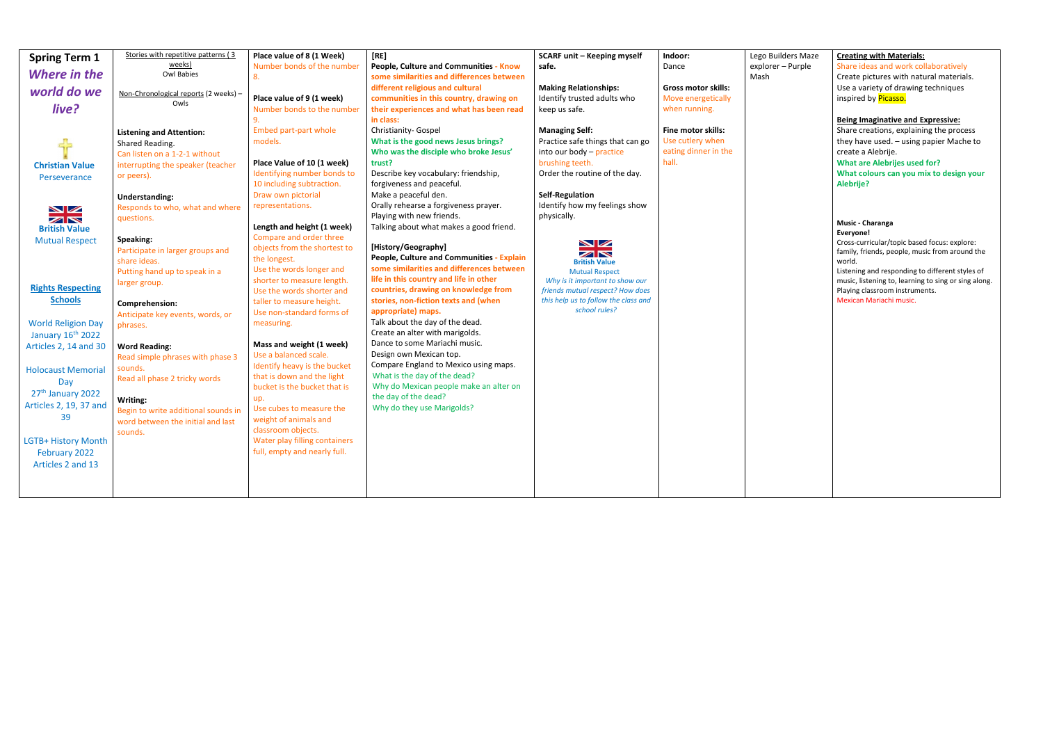| <b>Spring Term 1</b>                                                                                                                                                                           | Stories with repetitive patterns (3<br>weeks)                                                                                                                                                           | Place value of 8 (1 Week)                                                                                                                                                                                                                                                                          | [RE]                                                                                                                                                                                                                                                 | <b>SCARF unit - Keeping myself</b>                                                                                                                                                                   | Indoor:                                                                 | Lego Builders Ma:         |
|------------------------------------------------------------------------------------------------------------------------------------------------------------------------------------------------|---------------------------------------------------------------------------------------------------------------------------------------------------------------------------------------------------------|----------------------------------------------------------------------------------------------------------------------------------------------------------------------------------------------------------------------------------------------------------------------------------------------------|------------------------------------------------------------------------------------------------------------------------------------------------------------------------------------------------------------------------------------------------------|------------------------------------------------------------------------------------------------------------------------------------------------------------------------------------------------------|-------------------------------------------------------------------------|---------------------------|
| <b>Where in the</b>                                                                                                                                                                            | <b>Owl Babies</b>                                                                                                                                                                                       | Number bonds of the number<br>8.                                                                                                                                                                                                                                                                   | People, Culture and Communities - Know<br>some similarities and differences between                                                                                                                                                                  | safe.                                                                                                                                                                                                | Dance                                                                   | explorer - Purple<br>Mash |
| world do we<br>live?                                                                                                                                                                           | Non-Chronological reports (2 weeks) -<br>Owls                                                                                                                                                           | Place value of 9 (1 week)<br>Number bonds to the number<br>9.                                                                                                                                                                                                                                      | different religious and cultural<br>communities in this country, drawing on<br>their experiences and what has been read<br>in class:                                                                                                                 | <b>Making Relationships:</b><br>Identify trusted adults who<br>keep us safe.                                                                                                                         | Gross motor skills:<br>Move energetically<br>when running.              |                           |
| 45<br><b>Christian Value</b><br>Perseverance                                                                                                                                                   | <b>Listening and Attention:</b><br>Shared Reading.<br>Can listen on a 1-2-1 without<br>interrupting the speaker (teacher<br>or peers).<br><b>Understanding:</b>                                         | <b>Embed part-part whole</b><br>models.<br>Place Value of 10 (1 week)<br>Identifying number bonds to<br>10 including subtraction.<br>Draw own pictorial<br>representations.                                                                                                                        | Christianity- Gospel<br>What is the good news Jesus brings?<br>Who was the disciple who broke Jesus'<br>trust?<br>Describe key vocabulary: friendship,<br>forgiveness and peaceful.<br>Make a peaceful den.<br>Orally rehearse a forgiveness prayer. | <b>Managing Self:</b><br>Practice safe things that can go<br>into our body - practice<br>brushing teeth.<br>Order the routine of the day.<br><b>Self-Regulation</b><br>Identify how my feelings show | Fine motor skills:<br>Use cutlery when<br>eating dinner in the<br>hall. |                           |
| NZ<br>ZN<br><b>British Value</b>                                                                                                                                                               | Responds to who, what and where<br>questions.                                                                                                                                                           | Length and height (1 week)                                                                                                                                                                                                                                                                         | Playing with new friends.<br>Talking about what makes a good friend.                                                                                                                                                                                 | physically.                                                                                                                                                                                          |                                                                         |                           |
| <b>Mutual Respect</b>                                                                                                                                                                          | Speaking:<br>Participate in larger groups and<br>share ideas.                                                                                                                                           | Compare and order three<br>objects from the shortest to<br>the longest.                                                                                                                                                                                                                            | [History/Geography]<br>People, Culture and Communities - Explain                                                                                                                                                                                     | NZ<br>$\square$<br><b>British Value</b>                                                                                                                                                              |                                                                         |                           |
| <b>Rights Respecting</b><br><b>Schools</b>                                                                                                                                                     | Putting hand up to speak in a<br>larger group.<br>Comprehension:                                                                                                                                        | Use the words longer and<br>shorter to measure length.<br>Use the words shorter and<br>taller to measure height.                                                                                                                                                                                   | some similarities and differences between<br>life in this country and life in other<br>countries, drawing on knowledge from<br>stories, non-fiction texts and (when                                                                                  | <b>Mutual Respect</b><br>Why is it important to show our<br>friends mutual respect? How does<br>this help us to follow the class and                                                                 |                                                                         |                           |
| <b>World Religion Day</b><br>January 16 <sup>th</sup> 2022                                                                                                                                     | Anticipate key events, words, or<br>phrases.                                                                                                                                                            | Use non-standard forms of<br>measuring.                                                                                                                                                                                                                                                            | appropriate) maps.<br>Talk about the day of the dead.<br>Create an alter with marigolds.                                                                                                                                                             | school rules?                                                                                                                                                                                        |                                                                         |                           |
| Articles 2, 14 and 30<br><b>Holocaust Memorial</b><br>Day<br>27 <sup>th</sup> January 2022<br>Articles 2, 19, 37 and<br>39<br><b>LGTB+ History Month</b><br>February 2022<br>Articles 2 and 13 | <b>Word Reading:</b><br>Read simple phrases with phase 3<br>sounds.<br>Read all phase 2 tricky words<br>Writing:<br>Begin to write additional sounds in<br>word between the initial and last<br>sounds. | Mass and weight (1 week)<br>Use a balanced scale.<br>Identify heavy is the bucket<br>that is down and the light<br>bucket is the bucket that is<br>up.<br>Use cubes to measure the<br>weight of animals and<br>classroom objects.<br>Water play filling containers<br>full, empty and nearly full. | Dance to some Mariachi music.<br>Design own Mexican top.<br>Compare England to Mexico using maps.<br>What is the day of the dead?<br>Why do Mexican people make an alter on<br>the day of the dead?<br>Why do they use Marigolds?                    |                                                                                                                                                                                                      |                                                                         |                           |

| Lego Builders Maze | <b>Creating with Materials:</b>                                                |
|--------------------|--------------------------------------------------------------------------------|
| explorer - Purple  | Share ideas and work collaboratively                                           |
| Mash               | Create pictures with natural materials.                                        |
|                    | Use a variety of drawing techniques                                            |
|                    | inspired by <b>Picasso.</b>                                                    |
|                    | <b>Being Imaginative and Expressive:</b>                                       |
|                    | Share creations, explaining the process                                        |
|                    | they have used. - using papier Mache to                                        |
|                    | create a Alebrije.                                                             |
|                    | <b>What are Alebrijes used for?</b><br>What colours can you mix to design your |
|                    | <b>Alebrije?</b>                                                               |
|                    |                                                                                |
|                    | Music - Charanga                                                               |
|                    | Everyone!                                                                      |
|                    | Cross-curricular/topic based focus: explore:                                   |
|                    | family, friends, people, music from around the                                 |
|                    | world.<br>Listening and responding to different styles of                      |
|                    | music, listening to, learning to sing or sing along.                           |
|                    | Playing classroom instruments.                                                 |
|                    | Mexican Mariachi music.                                                        |
|                    |                                                                                |
|                    |                                                                                |
|                    |                                                                                |
|                    |                                                                                |
|                    |                                                                                |
|                    |                                                                                |
|                    |                                                                                |
|                    |                                                                                |
|                    |                                                                                |
|                    |                                                                                |
|                    |                                                                                |
|                    |                                                                                |
|                    |                                                                                |
|                    |                                                                                |
|                    |                                                                                |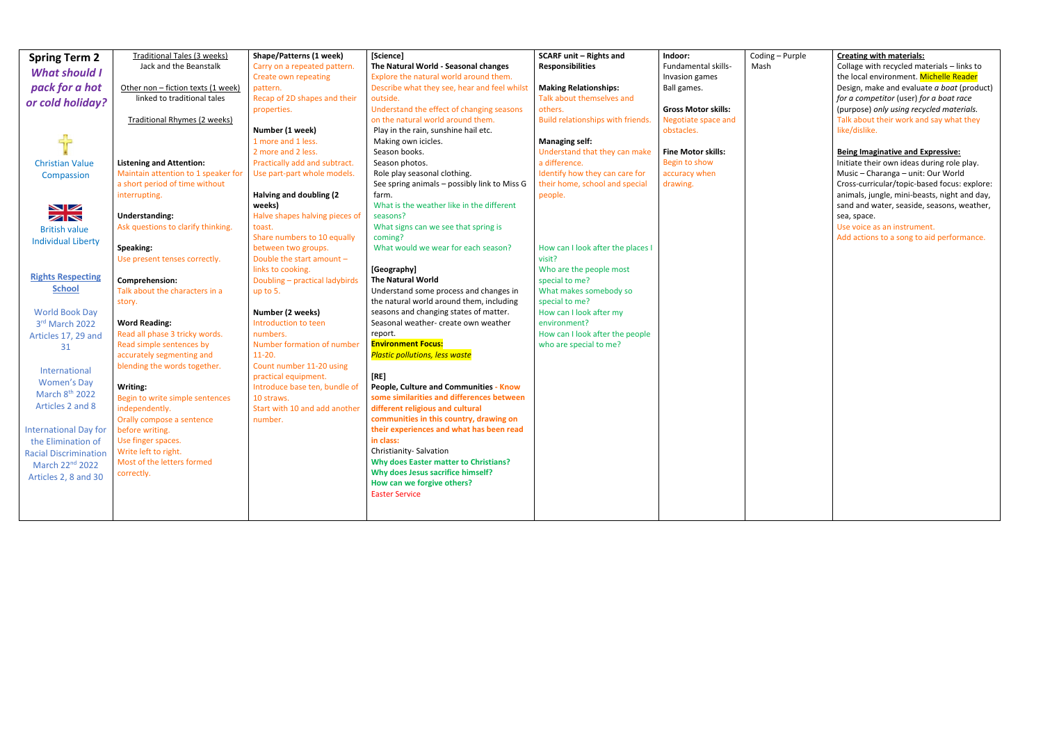| <b>Spring Term 2</b><br><b>What should I</b><br>pack for a hot<br>or cold holiday?<br><b>Christian Value</b><br>Compassion<br>NZ<br>ZN<br><b>British value</b><br><b>Individual Liberty</b><br><b>Rights Respecting</b><br><b>School</b><br><b>World Book Day</b><br>3rd March 2022<br>Articles 17, 29 and<br>31<br>International<br><b>Women's Day</b><br>March 8th 2022<br>Articles 2 and 8<br><b>International Day for</b><br>the Elimination of<br><b>Racial Discrimination</b><br>March 22nd 2022<br>Articles 2, 8 and 30 | <b>Traditional Tales (3 weeks)</b><br>Jack and the Beanstalk<br>Other non - fiction texts (1 week)<br>linked to traditional tales<br><b>Traditional Rhymes (2 weeks)</b><br><b>Listening and Attention:</b><br>Maintain attention to 1 speaker for<br>a short period of time without<br>interrupting.<br><b>Understanding:</b><br>Ask questions to clarify thinking.<br>Speaking:<br>Use present tenses correctly.<br>Comprehension:<br>Talk about the characters in a<br>story.<br><b>Word Reading:</b><br>Read all phase 3 tricky words.<br>Read simple sentences by<br>accurately segmenting and<br>blending the words together.<br>Writing:<br>Begin to write simple sentences<br>independently.<br>Orally compose a sentence<br>before writing.<br>Use finger spaces.<br>Write left to right.<br>Most of the letters formed<br>correctly. | <b>Shape/Patterns (1 week)</b><br>Carry on a repeated pattern.<br><b>Create own repeating</b><br>pattern.<br>Recap of 2D shapes and their<br>properties.<br>Number (1 week)<br>1 more and 1 less.<br>2 more and 2 less.<br>Practically add and subtract.<br>Use part-part whole models.<br>Halving and doubling (2<br>weeks)<br>Halve shapes halving pieces of<br>toast.<br>Share numbers to 10 equally<br>between two groups.<br>Double the start amount -<br>links to cooking.<br>Doubling - practical ladybirds<br>up to 5.<br>Number (2 weeks)<br>Introduction to teen<br>numbers.<br>Number formation of number<br>$11-20.$<br>Count number 11-20 using<br>practical equipment.<br>Introduce base ten, bundle of<br>10 straws.<br>Start with 10 and add another<br>number. | [Science]<br>The Natural World - Seasonal changes<br>Explore the natural world around them.<br>Describe what they see, hear and feel whilst<br>outside.<br>Understand the effect of changing seasons<br>on the natural world around them.<br>Play in the rain, sunshine hail etc.<br>Making own icicles.<br>Season books.<br>Season photos.<br>Role play seasonal clothing.<br>See spring animals - possibly link to Miss G<br>farm.<br>What is the weather like in the different<br>seasons?<br>What signs can we see that spring is<br>coming?<br>What would we wear for each season?<br>[Geography]<br><b>The Natural World</b><br>Understand some process and changes in<br>the natural world around them, including<br>seasons and changing states of matter.<br>Seasonal weather- create own weather<br>report.<br><b>Environment Focus:</b><br><b>Plastic pollutions, less waste</b><br>[RE]<br>People, Culture and Communities - Know<br>some similarities and differences between<br>different religious and cultural<br>communities in this country, drawing on<br>their experiences and what has been read<br>in class:<br>Christianity-Salvation<br><b>Why does Easter matter to Christians?</b><br>Why does Jesus sacrifice himself?<br>How can we forgive others?<br><b>Easter Service</b> | <b>SCARF unit - Rights and</b><br><b>Responsibilities</b><br><b>Making Relationships:</b><br>Talk about themselves and<br>others.<br>Build relationships with friends.<br><b>Managing self:</b><br>Understand that they can make<br>a difference.<br>Identify how they can care for<br>their home, school and special<br>people.<br>How can I look after the places I<br>visit?<br>Who are the people most<br>special to me?<br>What makes somebody so<br>special to me?<br>How can I look after my<br>environment?<br>How can I look after the people<br>who are special to me? | Indoor:<br>Fundamental skills-<br>Invasion games<br>Ball games.<br><b>Gross Motor skills:</b><br>Negotiate space and<br>obstacles.<br><b>Fine Motor skills:</b><br>Begin to show<br>accuracy when<br>drawing. | Coding -<br>Mash |
|--------------------------------------------------------------------------------------------------------------------------------------------------------------------------------------------------------------------------------------------------------------------------------------------------------------------------------------------------------------------------------------------------------------------------------------------------------------------------------------------------------------------------------|------------------------------------------------------------------------------------------------------------------------------------------------------------------------------------------------------------------------------------------------------------------------------------------------------------------------------------------------------------------------------------------------------------------------------------------------------------------------------------------------------------------------------------------------------------------------------------------------------------------------------------------------------------------------------------------------------------------------------------------------------------------------------------------------------------------------------------------------|---------------------------------------------------------------------------------------------------------------------------------------------------------------------------------------------------------------------------------------------------------------------------------------------------------------------------------------------------------------------------------------------------------------------------------------------------------------------------------------------------------------------------------------------------------------------------------------------------------------------------------------------------------------------------------------------------------------------------------------------------------------------------------|----------------------------------------------------------------------------------------------------------------------------------------------------------------------------------------------------------------------------------------------------------------------------------------------------------------------------------------------------------------------------------------------------------------------------------------------------------------------------------------------------------------------------------------------------------------------------------------------------------------------------------------------------------------------------------------------------------------------------------------------------------------------------------------------------------------------------------------------------------------------------------------------------------------------------------------------------------------------------------------------------------------------------------------------------------------------------------------------------------------------------------------------------------------------------------------------------------------------------------------------------------------------------------------------------------|----------------------------------------------------------------------------------------------------------------------------------------------------------------------------------------------------------------------------------------------------------------------------------------------------------------------------------------------------------------------------------------------------------------------------------------------------------------------------------------------------------------------------------------------------------------------------------|---------------------------------------------------------------------------------------------------------------------------------------------------------------------------------------------------------------|------------------|
|--------------------------------------------------------------------------------------------------------------------------------------------------------------------------------------------------------------------------------------------------------------------------------------------------------------------------------------------------------------------------------------------------------------------------------------------------------------------------------------------------------------------------------|------------------------------------------------------------------------------------------------------------------------------------------------------------------------------------------------------------------------------------------------------------------------------------------------------------------------------------------------------------------------------------------------------------------------------------------------------------------------------------------------------------------------------------------------------------------------------------------------------------------------------------------------------------------------------------------------------------------------------------------------------------------------------------------------------------------------------------------------|---------------------------------------------------------------------------------------------------------------------------------------------------------------------------------------------------------------------------------------------------------------------------------------------------------------------------------------------------------------------------------------------------------------------------------------------------------------------------------------------------------------------------------------------------------------------------------------------------------------------------------------------------------------------------------------------------------------------------------------------------------------------------------|----------------------------------------------------------------------------------------------------------------------------------------------------------------------------------------------------------------------------------------------------------------------------------------------------------------------------------------------------------------------------------------------------------------------------------------------------------------------------------------------------------------------------------------------------------------------------------------------------------------------------------------------------------------------------------------------------------------------------------------------------------------------------------------------------------------------------------------------------------------------------------------------------------------------------------------------------------------------------------------------------------------------------------------------------------------------------------------------------------------------------------------------------------------------------------------------------------------------------------------------------------------------------------------------------------|----------------------------------------------------------------------------------------------------------------------------------------------------------------------------------------------------------------------------------------------------------------------------------------------------------------------------------------------------------------------------------------------------------------------------------------------------------------------------------------------------------------------------------------------------------------------------------|---------------------------------------------------------------------------------------------------------------------------------------------------------------------------------------------------------------|------------------|

| – Purple | <b>Creating with materials:</b>              |
|----------|----------------------------------------------|
|          | Collage with recycled materials - links to   |
|          | the local environment. Michelle Reader       |
|          | Design, make and evaluate a boat (product)   |
|          |                                              |
|          | for a competitor (user) for a boat race      |
|          | (purpose) only using recycled materials.     |
|          | Talk about their work and say what they      |
|          | like/dislike.                                |
|          | <b>Being Imaginative and Expressive:</b>     |
|          | Initiate their own ideas during role play.   |
|          | Music - Charanga - unit: Our World           |
|          | Cross-curricular/topic-based focus: explore: |
|          | animals, jungle, mini-beasts, night and day, |
|          | sand and water, seaside, seasons, weather,   |
|          | sea, space.                                  |
|          | Use voice as an instrument.                  |
|          | Add actions to a song to aid performance.    |
|          |                                              |
|          |                                              |
|          |                                              |
|          |                                              |
|          |                                              |
|          |                                              |
|          |                                              |
|          |                                              |
|          |                                              |
|          |                                              |
|          |                                              |
|          |                                              |
|          |                                              |
|          |                                              |
|          |                                              |
|          |                                              |
|          |                                              |
|          |                                              |
|          |                                              |
|          |                                              |
|          |                                              |
|          |                                              |
|          |                                              |
|          |                                              |
|          |                                              |
|          |                                              |
|          |                                              |
|          |                                              |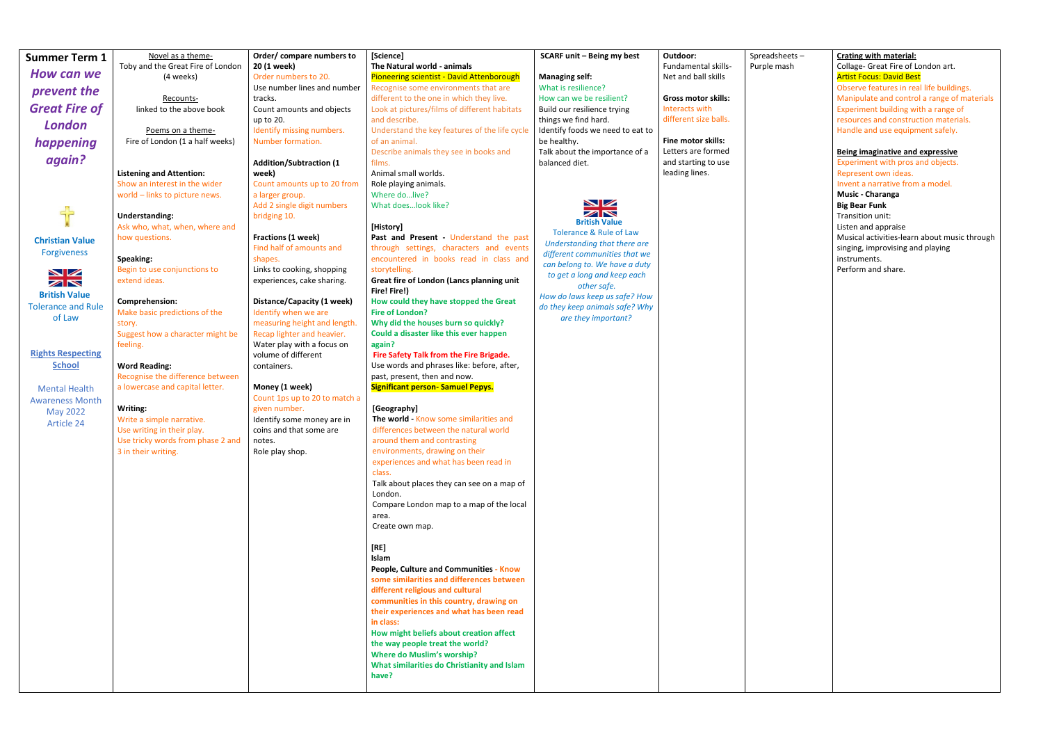| <b>Summer Term 1</b>                              | Novel as a theme-                             | Order/ compare numbers to                                | [Science]                                                                           | <b>SCARF unit - Being my best</b>                               | Outdoor:                                        | Spreadsheets- | <b>Crating with material:</b>                                               |
|---------------------------------------------------|-----------------------------------------------|----------------------------------------------------------|-------------------------------------------------------------------------------------|-----------------------------------------------------------------|-------------------------------------------------|---------------|-----------------------------------------------------------------------------|
| How can we                                        | Toby and the Great Fire of London             | 20 (1 week)                                              | The Natural world - animals                                                         |                                                                 | Fundamental skills-                             | Purple mash   | Collage- Great Fire of London art.                                          |
|                                                   | (4 weeks)                                     | Order numbers to 20.<br>Use number lines and number      | Pioneering scientist - David Attenborough<br>Recognise some environments that are   | <b>Managing self:</b><br>What is resilience?                    | Net and ball skills                             |               | <b>Artist Focus: David Best</b><br>Observe features in real life buildings. |
| prevent the                                       | Recounts-                                     | tracks.                                                  | different to the one in which they live.                                            | How can we be resilient?                                        | <b>Gross motor skills:</b>                      |               | Manipulate and control a range of materials                                 |
| <b>Great Fire of</b>                              | linked to the above book                      | Count amounts and objects                                | Look at pictures/films of different habitats                                        | Build our resilience trying                                     | Interacts with                                  |               | Experiment building with a range of                                         |
| <b>London</b>                                     |                                               | up to 20.                                                | and describe.                                                                       | things we find hard.                                            | different size balls.                           |               | resources and construction materials.                                       |
|                                                   | Poems on a theme-                             | Identify missing numbers.                                | Understand the key features of the life cycle                                       | Identify foods we need to eat to                                |                                                 |               | Handle and use equipment safely.                                            |
| happening                                         | Fire of London (1 a half weeks)               | Number formation.                                        | of an animal.<br>Describe animals they see in books and                             | be healthy.<br>Talk about the importance of a                   | <b>Fine motor skills:</b><br>Letters are formed |               | Being imaginative and expressive                                            |
| again?                                            |                                               | <b>Addition/Subtraction (1</b>                           | films.                                                                              | balanced diet.                                                  | and starting to use                             |               | Experiment with pros and objects.                                           |
|                                                   | <b>Listening and Attention:</b>               | week)                                                    | Animal small worlds.                                                                |                                                                 | leading lines.                                  |               | Represent own ideas.                                                        |
|                                                   | Show an interest in the wider                 | Count amounts up to 20 from                              | Role playing animals.                                                               |                                                                 |                                                 |               | Invent a narrative from a model.                                            |
|                                                   | world - links to picture news.                | a larger group.                                          | Where dolive?                                                                       | NZ                                                              |                                                 |               | Music - Charanga                                                            |
| 45                                                | <b>Understanding:</b>                         | Add 2 single digit numbers<br>bridging 10.               | What doeslook like?                                                                 | ZN                                                              |                                                 |               | <b>Big Bear Funk</b><br>Transition unit:                                    |
|                                                   | Ask who, what, when, where and                |                                                          | [History]                                                                           | <b>British Value</b>                                            |                                                 |               | Listen and appraise                                                         |
| <b>Christian Value</b>                            | how questions.                                | Fractions (1 week)                                       | Past and Present - Understand the past                                              | <b>Tolerance &amp; Rule of Law</b>                              |                                                 |               | Musical activities-learn about music through                                |
| <b>Forgiveness</b>                                |                                               | Find half of amounts and                                 | through settings, characters and events                                             | Understanding that there are<br>different communities that we   |                                                 |               | singing, improvising and playing                                            |
|                                                   | Speaking:                                     | shapes.                                                  | encountered in books read in class and                                              | can belong to. We have a duty                                   |                                                 |               | instruments.                                                                |
| NZ                                                | Begin to use conjunctions to<br>extend ideas. | Links to cooking, shopping<br>experiences, cake sharing. | storytelling.<br>Great fire of London (Lancs planning unit                          | to get a long and keep each                                     |                                                 |               | Perform and share.                                                          |
| ZN                                                |                                               |                                                          | Fire! Fire!)                                                                        | other safe.                                                     |                                                 |               |                                                                             |
| <b>British Value</b><br><b>Tolerance and Rule</b> | Comprehension:                                | Distance/Capacity (1 week)                               | How could they have stopped the Great                                               | How do laws keep us safe? How<br>do they keep animals safe? Why |                                                 |               |                                                                             |
| of Law                                            | Make basic predictions of the                 | Identify when we are                                     | <b>Fire of London?</b>                                                              | are they important?                                             |                                                 |               |                                                                             |
|                                                   | story.                                        | measuring height and length.                             | Why did the houses burn so quickly?                                                 |                                                                 |                                                 |               |                                                                             |
|                                                   | Suggest how a character might be<br>feeling.  | Recap lighter and heavier.<br>Water play with a focus on | Could a disaster like this ever happen<br>again?                                    |                                                                 |                                                 |               |                                                                             |
| <b>Rights Respecting</b>                          |                                               | volume of different                                      | Fire Safety Talk from the Fire Brigade.                                             |                                                                 |                                                 |               |                                                                             |
| <b>School</b>                                     | <b>Word Reading:</b>                          | containers.                                              | Use words and phrases like: before, after,                                          |                                                                 |                                                 |               |                                                                             |
|                                                   | Recognise the difference between              |                                                          | past, present, then and now.                                                        |                                                                 |                                                 |               |                                                                             |
| <b>Mental Health</b>                              | a lowercase and capital letter.               | Money (1 week)                                           | <b>Significant person- Samuel Pepys.</b>                                            |                                                                 |                                                 |               |                                                                             |
| <b>Awareness Month</b>                            | Writing:                                      | Count 1ps up to 20 to match a<br>given number.           | [Geography]                                                                         |                                                                 |                                                 |               |                                                                             |
| May 2022                                          | Write a simple narrative.                     | Identify some money are in                               | The world - Know some similarities and                                              |                                                                 |                                                 |               |                                                                             |
| Article 24                                        | Use writing in their play.                    | coins and that some are                                  | differences between the natural world                                               |                                                                 |                                                 |               |                                                                             |
|                                                   | Use tricky words from phase 2 and             | notes.                                                   | around them and contrasting                                                         |                                                                 |                                                 |               |                                                                             |
|                                                   | 3 in their writing.                           | Role play shop.                                          | environments, drawing on their                                                      |                                                                 |                                                 |               |                                                                             |
|                                                   |                                               |                                                          | experiences and what has been read in<br>class.                                     |                                                                 |                                                 |               |                                                                             |
|                                                   |                                               |                                                          | Talk about places they can see on a map of                                          |                                                                 |                                                 |               |                                                                             |
|                                                   |                                               |                                                          | London.                                                                             |                                                                 |                                                 |               |                                                                             |
|                                                   |                                               |                                                          | Compare London map to a map of the local                                            |                                                                 |                                                 |               |                                                                             |
|                                                   |                                               |                                                          | area.                                                                               |                                                                 |                                                 |               |                                                                             |
|                                                   |                                               |                                                          | Create own map.                                                                     |                                                                 |                                                 |               |                                                                             |
|                                                   |                                               |                                                          | $[RE]$                                                                              |                                                                 |                                                 |               |                                                                             |
|                                                   |                                               |                                                          | Islam                                                                               |                                                                 |                                                 |               |                                                                             |
|                                                   |                                               |                                                          | People, Culture and Communities - Know                                              |                                                                 |                                                 |               |                                                                             |
|                                                   |                                               |                                                          | some similarities and differences between                                           |                                                                 |                                                 |               |                                                                             |
|                                                   |                                               |                                                          | different religious and cultural                                                    |                                                                 |                                                 |               |                                                                             |
|                                                   |                                               |                                                          | communities in this country, drawing on<br>their experiences and what has been read |                                                                 |                                                 |               |                                                                             |
|                                                   |                                               |                                                          | in class:                                                                           |                                                                 |                                                 |               |                                                                             |
|                                                   |                                               |                                                          | How might beliefs about creation affect                                             |                                                                 |                                                 |               |                                                                             |
|                                                   |                                               |                                                          | the way people treat the world?                                                     |                                                                 |                                                 |               |                                                                             |
|                                                   |                                               |                                                          | <b>Where do Muslim's worship?</b>                                                   |                                                                 |                                                 |               |                                                                             |
|                                                   |                                               |                                                          | What similarities do Christianity and Islam                                         |                                                                 |                                                 |               |                                                                             |
|                                                   |                                               |                                                          | have?                                                                               |                                                                 |                                                 |               |                                                                             |
|                                                   |                                               |                                                          |                                                                                     |                                                                 |                                                 |               |                                                                             |